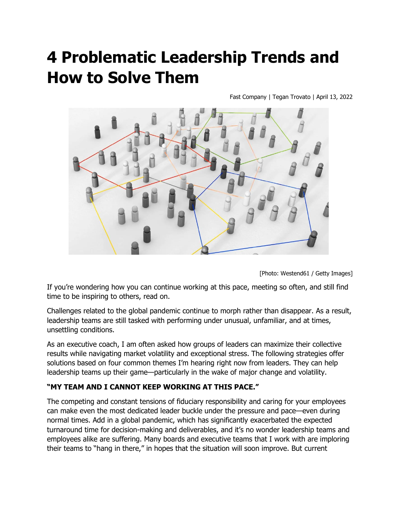# **4 Problematic Leadership Trends and How to Solve Them**

Fast Company | Tegan Trovato | April 13, 2022



[Photo: Westend61 / Getty Images]

If you're wondering how you can continue working at this pace, meeting so often, and still find time to be inspiring to others, read on.

Challenges related to the global pandemic continue to morph rather than disappear. As a result, leadership teams are still tasked with performing under unusual, unfamiliar, and at times, unsettling conditions.

As an executive coach, I am often asked how groups of leaders can maximize their collective results while navigating market volatility and exceptional stress. The following strategies offer solutions based on four common themes I'm hearing right now from leaders. They can help leadership teams up their game—particularly in the wake of major change and volatility.

#### **"MY TEAM AND I CANNOT KEEP WORKING AT THIS PACE."**

The competing and constant tensions of fiduciary responsibility and caring for your employees can make even the most dedicated leader buckle under the pressure and pace—even during normal times. Add in a global pandemic, which has significantly exacerbated the expected turnaround time for decision-making and deliverables, and it's no wonder leadership teams and employees alike are suffering. Many boards and executive teams that I work with are imploring their teams to "hang in there," in hopes that the situation will soon improve. But current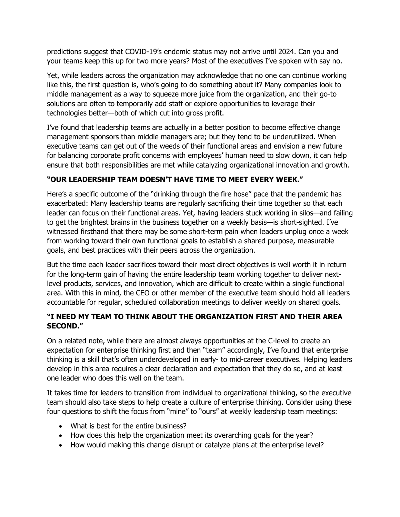predictions suggest that COVID-19's endemic status may not arrive until 2024. Can you and your teams keep this up for two more years? Most of the executives I've spoken with say no.

Yet, while leaders across the organization may acknowledge that no one can continue working like this, the first question is, who's going to do something about it? Many companies look to middle management as a way to squeeze more juice from the organization, and their go-to solutions are often to temporarily add staff or explore opportunities to leverage their technologies better—both of which cut into gross profit.

I've found that leadership teams are actually in a better position to become effective change management sponsors than middle managers are; but they tend to be underutilized. When executive teams can get out of the weeds of their functional areas and envision a new future for balancing corporate profit concerns with employees' human need to slow down, it can help ensure that both responsibilities are met while catalyzing organizational innovation and growth.

## **"OUR LEADERSHIP TEAM DOESN'T HAVE TIME TO MEET EVERY WEEK."**

Here's a specific outcome of the "drinking through the fire hose" pace that the pandemic has exacerbated: Many leadership teams are regularly sacrificing their time together so that each leader can focus on their functional areas. Yet, having leaders stuck working in silos—and failing to get the brightest brains in the business together on a weekly basis—is short-sighted. I've witnessed firsthand that there may be some short-term pain when leaders unplug once a week from working toward their own functional goals to establish a shared purpose, measurable goals, and best practices with their peers across the organization.

But the time each leader sacrifices toward their most direct objectives is well worth it in return for the long-term gain of having the entire leadership team working together to deliver nextlevel products, services, and innovation, which are difficult to create within a single functional area. With this in mind, the CEO or other member of the executive team should hold all leaders accountable for regular, scheduled collaboration meetings to deliver weekly on shared goals.

## **"I NEED MY TEAM TO THINK ABOUT THE ORGANIZATION FIRST AND THEIR AREA SECOND."**

On a related note, while there are almost always opportunities at the C-level to create an expectation for enterprise thinking first and then "team" accordingly, I've found that enterprise thinking is a skill that's often underdeveloped in early- to mid-career executives. Helping leaders develop in this area requires a clear declaration and expectation that they do so, and at least one leader who does this well on the team.

It takes time for leaders to transition from individual to organizational thinking, so the executive team should also take steps to help create a culture of enterprise thinking. Consider using these four questions to shift the focus from "mine" to "ours" at weekly leadership team meetings:

- What is best for the entire business?
- How does this help the organization meet its overarching goals for the year?
- How would making this change disrupt or catalyze plans at the enterprise level?